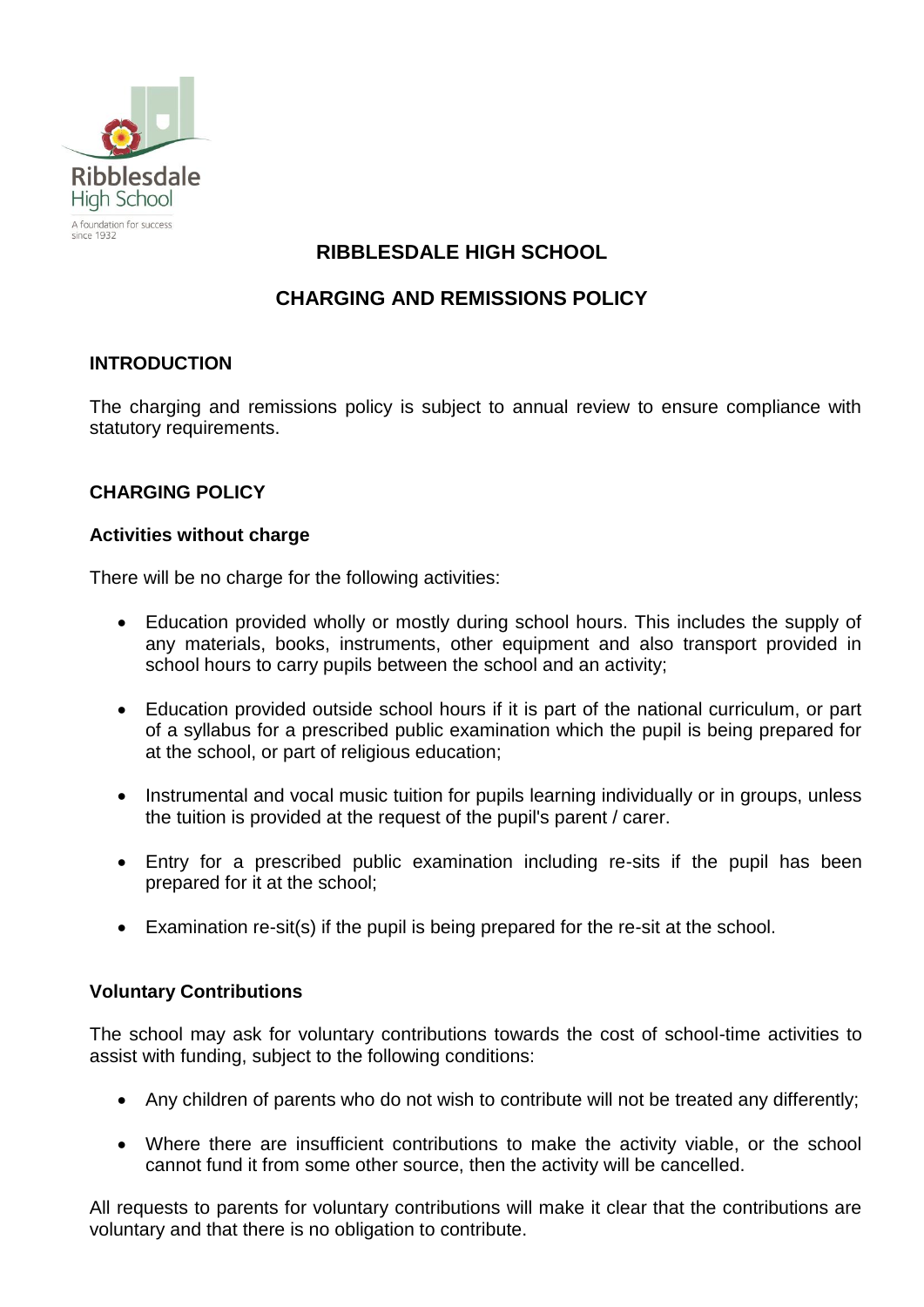

# **RIBBLESDALE HIGH SCHOOL**

## **CHARGING AND REMISSIONS POLICY**

## **INTRODUCTION**

The charging and remissions policy is subject to annual review to ensure compliance with statutory requirements.

## **CHARGING POLICY**

#### **Activities without charge**

There will be no charge for the following activities:

- Education provided wholly or mostly during school hours. This includes the supply of any materials, books, instruments, other equipment and also transport provided in school hours to carry pupils between the school and an activity;
- Education provided outside school hours if it is part of the national curriculum, or part of a syllabus for a prescribed public examination which the pupil is being prepared for at the school, or part of religious education;
- Instrumental and vocal music tuition for pupils learning individually or in groups, unless the tuition is provided at the request of the pupil's parent / carer.
- Entry for a prescribed public examination including re-sits if the pupil has been prepared for it at the school;
- Examination re-sit(s) if the pupil is being prepared for the re-sit at the school.

#### **Voluntary Contributions**

The school may ask for voluntary contributions towards the cost of school-time activities to assist with funding, subject to the following conditions:

- Any children of parents who do not wish to contribute will not be treated any differently;
- Where there are insufficient contributions to make the activity viable, or the school cannot fund it from some other source, then the activity will be cancelled.

All requests to parents for voluntary contributions will make it clear that the contributions are voluntary and that there is no obligation to contribute.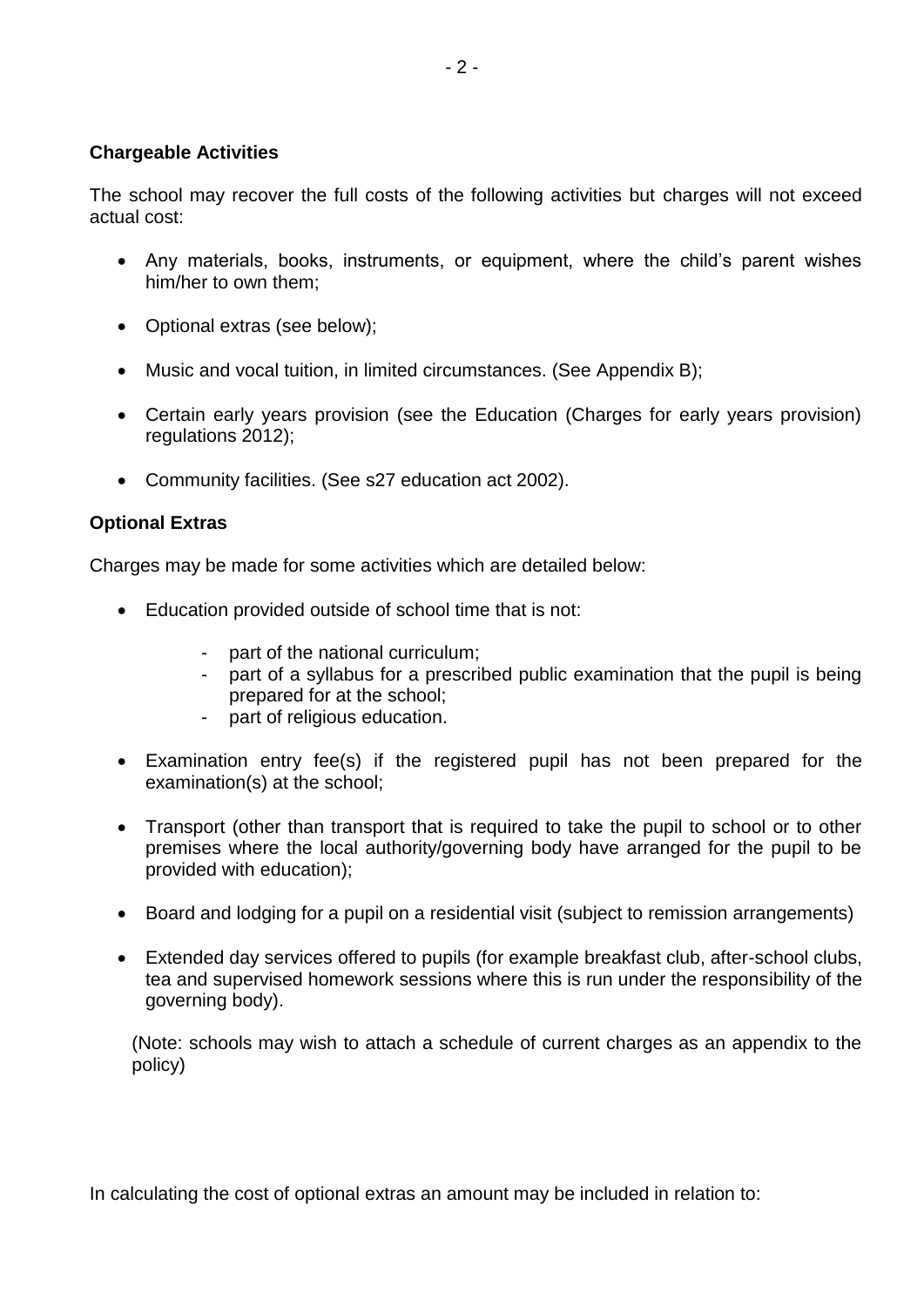## **Chargeable Activities**

The school may recover the full costs of the following activities but charges will not exceed actual cost:

- Any materials, books, instruments, or equipment, where the child's parent wishes him/her to own them;
- Optional extras (see below);
- Music and vocal tuition, in limited circumstances. (See Appendix B);
- Certain early years provision (see the Education (Charges for early years provision) regulations 2012);
- Community facilities. (See s27 education act 2002).

## **Optional Extras**

Charges may be made for some activities which are detailed below:

- Education provided outside of school time that is not:
	- part of the national curriculum;
	- part of a syllabus for a prescribed public examination that the pupil is being prepared for at the school;
	- part of religious education.
- Examination entry fee(s) if the registered pupil has not been prepared for the examination(s) at the school;
- Transport (other than transport that is required to take the pupil to school or to other premises where the local authority/governing body have arranged for the pupil to be provided with education);
- Board and lodging for a pupil on a residential visit (subject to remission arrangements)
- Extended day services offered to pupils (for example breakfast club, after-school clubs, tea and supervised homework sessions where this is run under the responsibility of the governing body).

(Note: schools may wish to attach a schedule of current charges as an appendix to the policy)

In calculating the cost of optional extras an amount may be included in relation to: